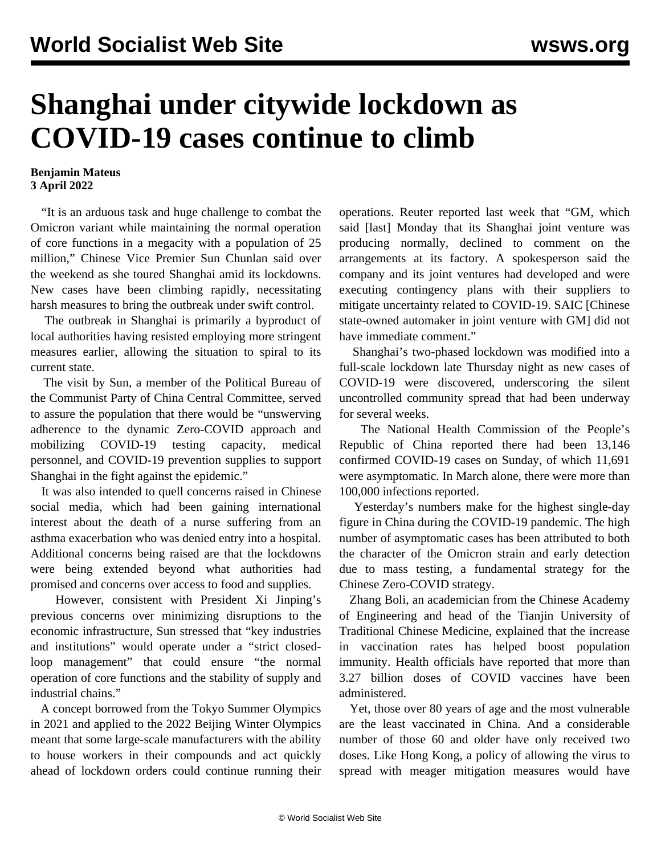## **Shanghai under citywide lockdown as COVID-19 cases continue to climb**

## **Benjamin Mateus 3 April 2022**

 "It is an arduous task and huge challenge to combat the Omicron variant while maintaining the normal operation of core functions in a megacity with a population of 25 million," Chinese Vice Premier Sun Chunlan said over the weekend as she toured Shanghai amid its lockdowns. New cases have been climbing rapidly, necessitating harsh measures to bring the outbreak under swift control.

 The outbreak in Shanghai is primarily a byproduct of local authorities having resisted employing more stringent measures earlier, allowing the situation to spiral to its current state.

 The visit by Sun, a member of the Political Bureau of the Communist Party of China Central Committee, served to assure the population that there would be "unswerving adherence to the dynamic Zero-COVID approach and mobilizing COVID-19 testing capacity, medical personnel, and COVID-19 prevention supplies to support Shanghai in the fight against the epidemic."

 It was also intended to quell concerns raised in Chinese social media, which had been gaining international interest about the death of a nurse suffering from an asthma exacerbation who was denied entry into a hospital. Additional concerns being raised are that the lockdowns were being extended beyond what authorities had promised and concerns over access to food and supplies.

 However, consistent with President Xi Jinping's previous concerns over minimizing disruptions to the economic infrastructure, Sun stressed that "key industries and institutions" would operate under a "strict closedloop management" that could ensure "the normal operation of core functions and the stability of supply and industrial chains."

 A concept borrowed from the Tokyo Summer Olympics in 2021 and applied to the 2022 Beijing Winter Olympics meant that some large-scale manufacturers with the ability to house workers in their compounds and act quickly ahead of lockdown orders could continue running their operations. Reuter reported last week that "GM, which said [last] Monday that its Shanghai joint venture was producing normally, declined to comment on the arrangements at its factory. A spokesperson said the company and its joint ventures had developed and were executing contingency plans with their suppliers to mitigate uncertainty related to COVID-19. SAIC [Chinese state-owned automaker in joint venture with GM] did not have immediate comment."

 Shanghai's two-phased lockdown was modified into a full-scale lockdown late Thursday night as new cases of COVID-19 were discovered, underscoring the silent uncontrolled community spread that had been underway for several weeks.

 The National Health Commission of the People's Republic of China reported there had been 13,146 confirmed COVID-19 cases on Sunday, of which 11,691 were asymptomatic. In March alone, there were more than 100,000 infections reported.

 Yesterday's numbers make for the highest single-day figure in China during the COVID-19 pandemic. The high number of asymptomatic cases has been attributed to both the character of the Omicron strain and early detection due to mass testing, a fundamental strategy for the Chinese Zero-COVID strategy.

 Zhang Boli, an academician from the Chinese Academy of Engineering and head of the Tianjin University of Traditional Chinese Medicine, explained that the increase in vaccination rates has helped boost population immunity. Health officials have reported that more than 3.27 billion doses of COVID vaccines have been administered.

 Yet, those over 80 years of age and the most vulnerable are the least vaccinated in China. And a considerable number of those 60 and older have only received two doses. Like Hong Kong, a policy of allowing the virus to spread with meager mitigation measures would have